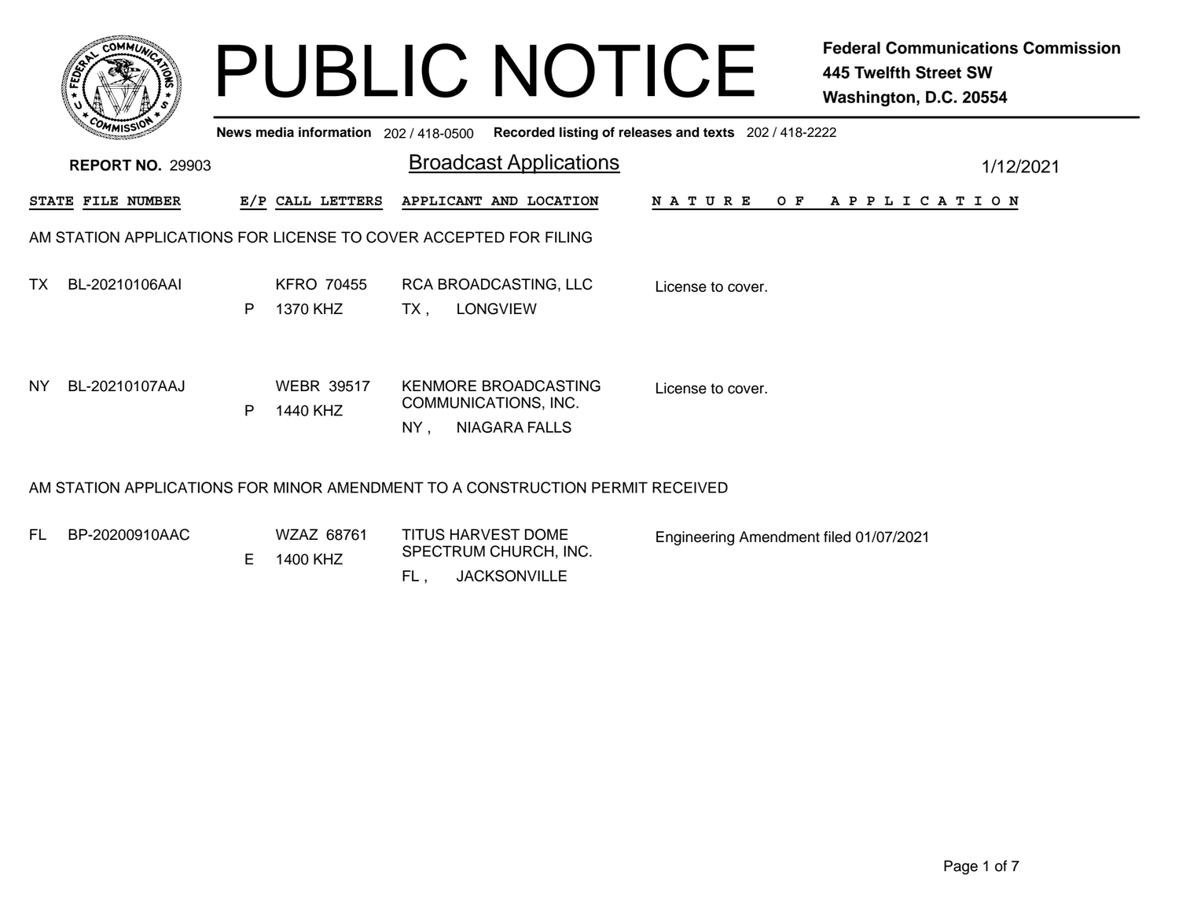|           |                                                                  |   |                                       |     | <b>PUBLIC NOTICE</b>                                                          |                                        | <b>Federal Communications Commission</b><br><b>445 Twelfth Street SW</b><br>Washington, D.C. 20554 |
|-----------|------------------------------------------------------------------|---|---------------------------------------|-----|-------------------------------------------------------------------------------|----------------------------------------|----------------------------------------------------------------------------------------------------|
|           |                                                                  |   | News media information 202 / 418-0500 |     | Recorded listing of releases and texts 202 / 418-2222                         |                                        |                                                                                                    |
|           | <b>REPORT NO. 29903</b>                                          |   |                                       |     | <b>Broadcast Applications</b>                                                 |                                        | 1/12/2021                                                                                          |
|           | STATE FILE NUMBER                                                |   | E/P CALL LETTERS                      |     | APPLICANT AND LOCATION                                                        | N A T U R E<br>O F                     | A P P L I C A T I O N                                                                              |
|           | AM STATION APPLICATIONS FOR LICENSE TO COVER ACCEPTED FOR FILING |   |                                       |     |                                                                               |                                        |                                                                                                    |
| TX.       | BL-20210106AAI                                                   | P | <b>KFRO 70455</b><br>1370 KHZ         | TX. | RCA BROADCASTING, LLC<br><b>LONGVIEW</b>                                      | License to cover.                      |                                                                                                    |
| <b>NY</b> | BL-20210107AAJ                                                   | P | <b>WEBR 39517</b><br>1440 KHZ         | NY. | <b>KENMORE BROADCASTING</b><br>COMMUNICATIONS, INC.<br><b>NIAGARA FALLS</b>   | License to cover.                      |                                                                                                    |
|           |                                                                  |   |                                       |     | AM STATION APPLICATIONS FOR MINOR AMENDMENT TO A CONSTRUCTION PERMIT RECEIVED |                                        |                                                                                                    |
| FL.       | BP-20200910AAC                                                   |   | WZAZ 68761<br>$E = 1100$ $V \square$  |     | <b>TITUS HARVEST DOME</b><br>SPECTRUM CHURCH, INC.                            | Engineering Amendment filed 01/07/2021 |                                                                                                    |

 $FL,$ 

E 1400 KHZ

, JACKSONVILLE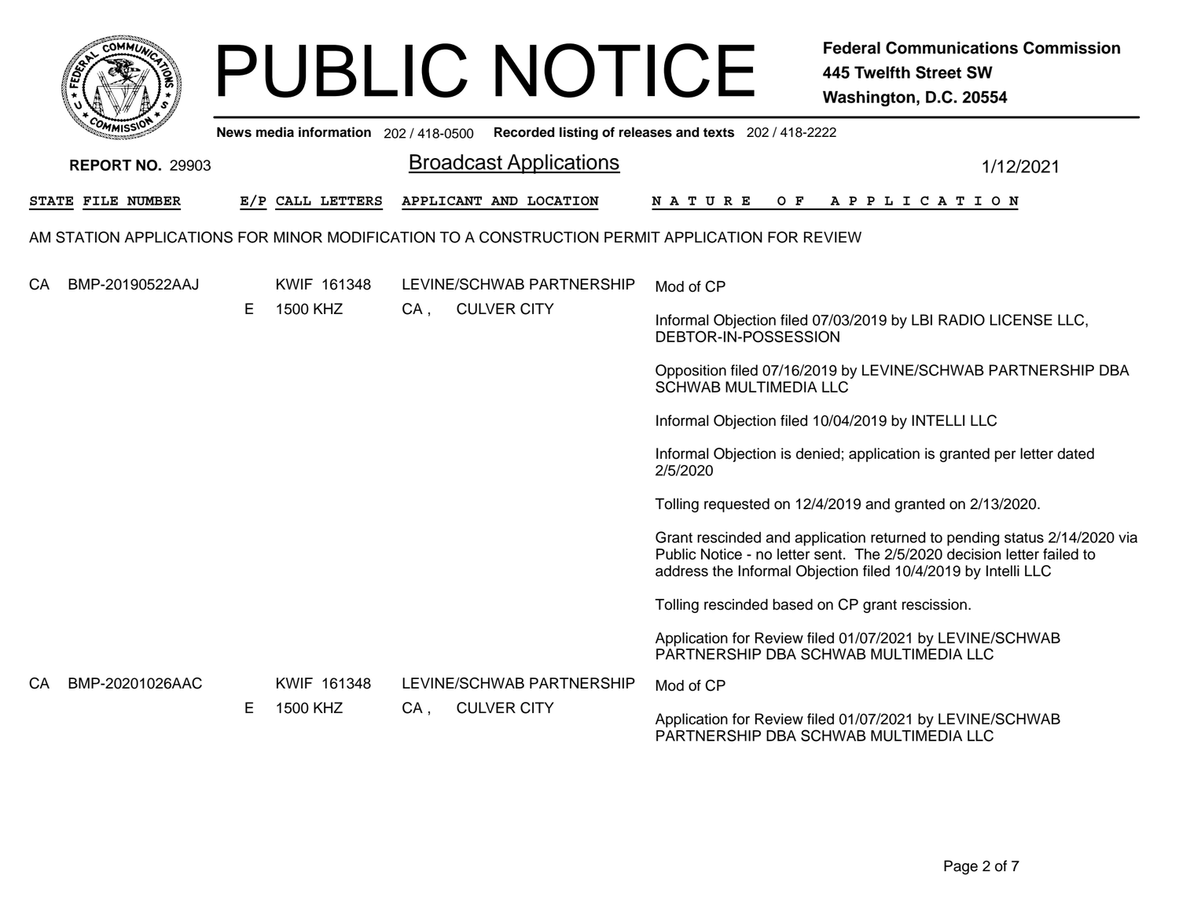|     | <b>COMMUT</b>                                                                                  |    |                                         |        | <b>PUBLIC NOTICE</b>                            |                                                       | <b>Federal Communications Commission</b><br><b>445 Twelfth Street SW</b><br>Washington, D.C. 20554                                                                                                                  |  |
|-----|------------------------------------------------------------------------------------------------|----|-----------------------------------------|--------|-------------------------------------------------|-------------------------------------------------------|---------------------------------------------------------------------------------------------------------------------------------------------------------------------------------------------------------------------|--|
|     | News media information $202/418-0500$                                                          |    |                                         |        |                                                 | Recorded listing of releases and texts 202 / 418-2222 |                                                                                                                                                                                                                     |  |
|     | <b>REPORT NO. 29903</b>                                                                        |    |                                         |        | <b>Broadcast Applications</b>                   |                                                       | 1/12/2021                                                                                                                                                                                                           |  |
|     | STATE FILE NUMBER                                                                              |    | E/P CALL LETTERS                        |        | APPLICANT AND LOCATION                          | N A T U R E<br>O F                                    | A P P L I C A T I O N                                                                                                                                                                                               |  |
|     | AM STATION APPLICATIONS FOR MINOR MODIFICATION TO A CONSTRUCTION PERMIT APPLICATION FOR REVIEW |    |                                         |        |                                                 |                                                       |                                                                                                                                                                                                                     |  |
| СA  | BMP-20190522AAJ                                                                                |    | KWIF 161348<br>1500 KHZ                 | $CA$ , | LEVINE/SCHWAB PARTNERSHIP<br><b>CULVER CITY</b> | Mod of CP                                             |                                                                                                                                                                                                                     |  |
|     |                                                                                                | E. |                                         |        |                                                 | DEBTOR-IN-POSSESSION                                  | Informal Objection filed 07/03/2019 by LBI RADIO LICENSE LLC,                                                                                                                                                       |  |
|     |                                                                                                |    |                                         |        |                                                 | <b>SCHWAB MULTIMEDIA LLC</b>                          | Opposition filed 07/16/2019 by LEVINE/SCHWAB PARTNERSHIP DBA                                                                                                                                                        |  |
|     |                                                                                                |    |                                         |        |                                                 |                                                       | Informal Objection filed 10/04/2019 by INTELLI LLC                                                                                                                                                                  |  |
|     |                                                                                                |    |                                         |        |                                                 | 2/5/2020                                              | Informal Objection is denied; application is granted per letter dated                                                                                                                                               |  |
|     |                                                                                                |    |                                         |        |                                                 |                                                       | Tolling requested on 12/4/2019 and granted on 2/13/2020.                                                                                                                                                            |  |
|     |                                                                                                |    |                                         |        |                                                 |                                                       | Grant rescinded and application returned to pending status 2/14/2020 via<br>Public Notice - no letter sent. The 2/5/2020 decision letter failed to<br>address the Informal Objection filed 10/4/2019 by Intelli LLC |  |
|     |                                                                                                |    |                                         |        |                                                 |                                                       | Tolling rescinded based on CP grant rescission.                                                                                                                                                                     |  |
|     |                                                                                                |    |                                         |        |                                                 |                                                       | Application for Review filed 01/07/2021 by LEVINE/SCHWAB<br>PARTNERSHIP DBA SCHWAB MULTIMEDIA LLC                                                                                                                   |  |
| CA. | BMP-20201026AAC                                                                                |    | KWIF 161348<br>E.<br>1500 KHZ<br>$CA$ , |        | LEVINE/SCHWAB PARTNERSHIP<br><b>CULVER CITY</b> | Mod of CP                                             |                                                                                                                                                                                                                     |  |
|     |                                                                                                |    |                                         |        |                                                 |                                                       | Application for Review filed 01/07/2021 by LEVINE/SCHWAB<br>PARTNERSHIP DBA SCHWAB MULTIMEDIA LLC                                                                                                                   |  |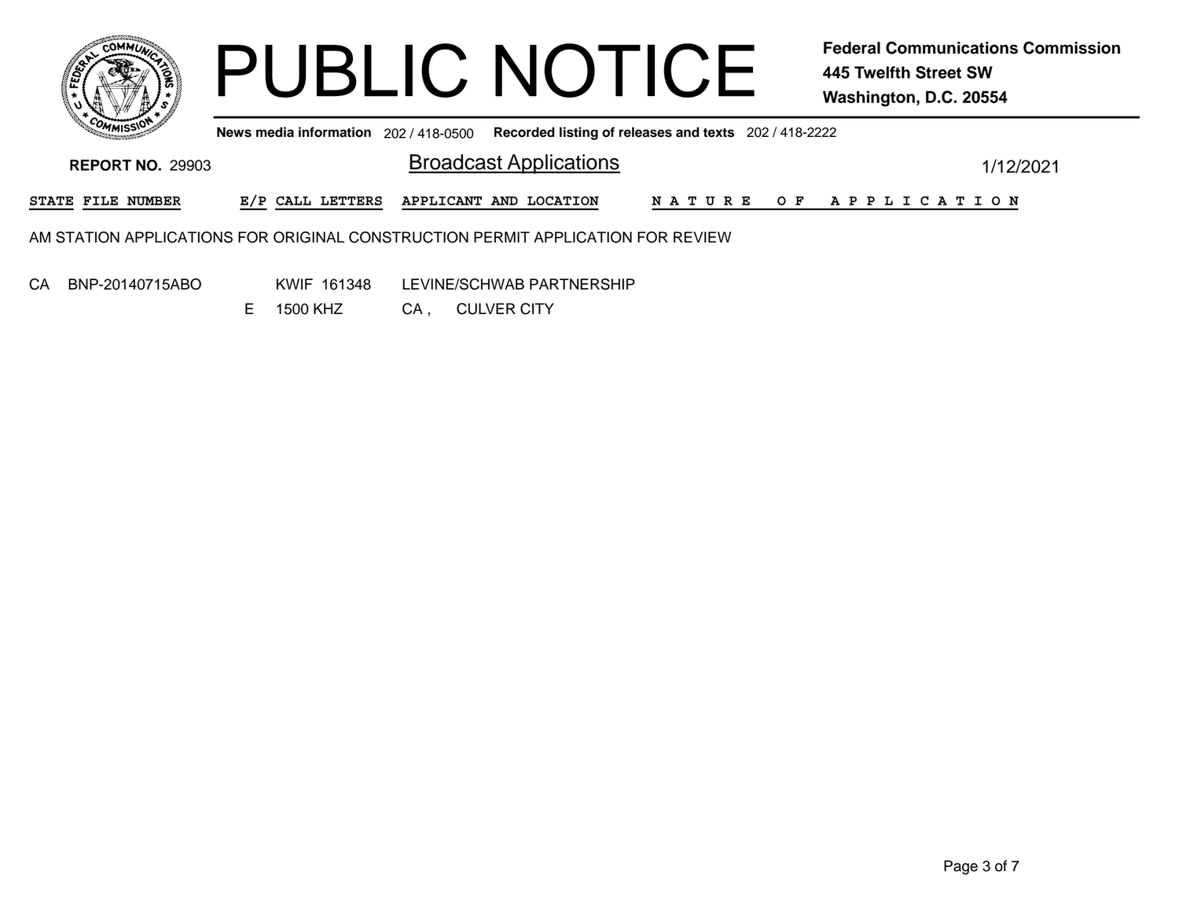

**News media information** 202 / 418-0500 **Recorded listing of releases and texts** 202 / 418-2222

**Broadcast Applications** 1/12/2021 **REPORT NO.** 29903**STATE FILE NUMBER E/P CALL LETTERS APPLICANT AND LOCATION N A T U R E O F A P P L I C A T I O N** AM STATION APPLICATIONS FOR ORIGINAL CONSTRUCTION PERMIT APPLICATION FOR REVIEW

CA BNP-20140715ABO

KWIF 161348 LEVINE/SCHWAB PARTNERSHIP

CA , CULVER CITY E 1500 KHZ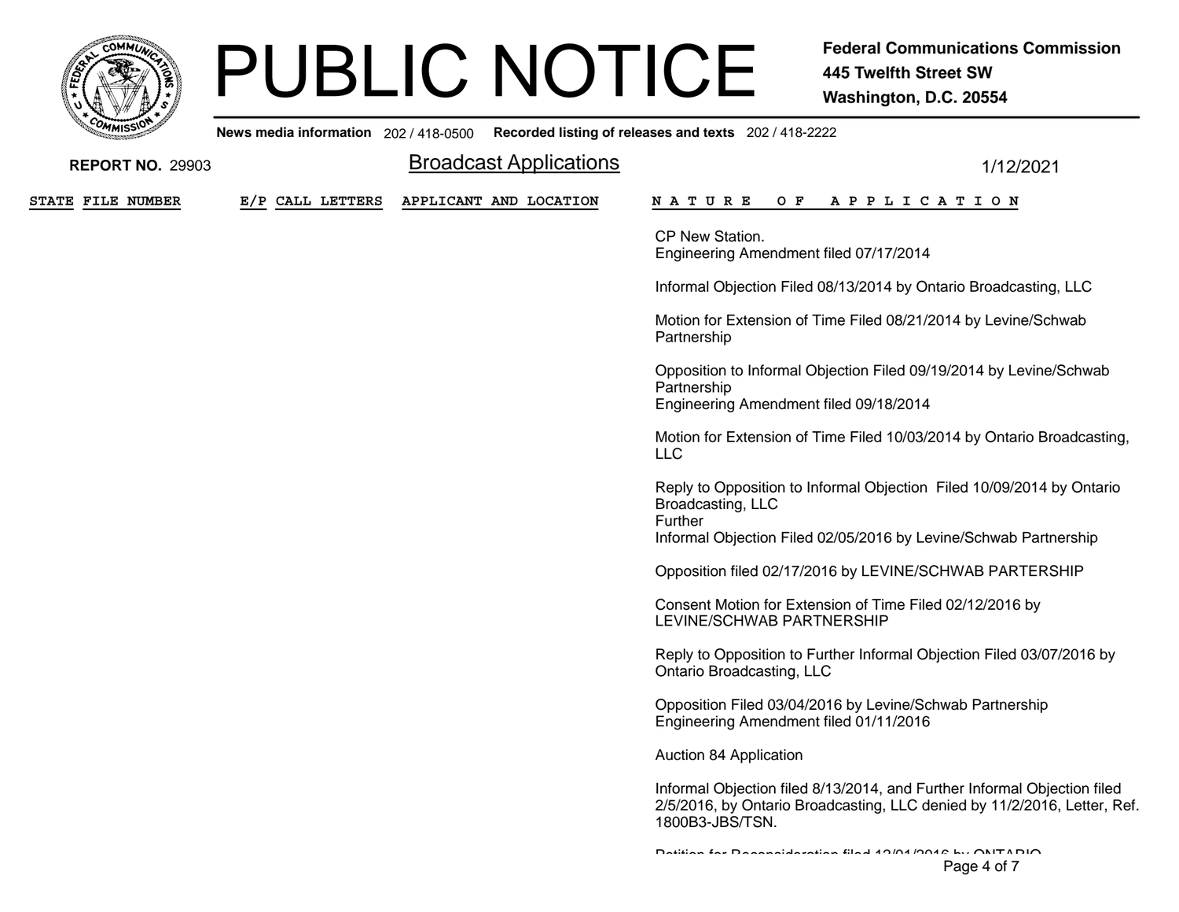

**News media information** 202 / 418-0500

| <b>REPORT NO. 29903</b>  |                  | <b>Broadcast Applications</b> | 1/12/2021                                                                                                                                                                 |
|--------------------------|------------------|-------------------------------|---------------------------------------------------------------------------------------------------------------------------------------------------------------------------|
| <b>STATE FILE NUMBER</b> | E/P CALL LETTERS | APPLICANT AND LOCATION        | OF APPLICATION<br>N A T U R E                                                                                                                                             |
|                          |                  |                               | CP New Station.<br>Engineering Amendment filed 07/17/2014                                                                                                                 |
|                          |                  |                               | Informal Objection Filed 08/13/2014 by Ontario Broadcasting, LLC                                                                                                          |
|                          |                  |                               | Motion for Extension of Time Filed 08/21/2014 by Levine/Schwab<br>Partnership                                                                                             |
|                          |                  |                               | Opposition to Informal Objection Filed 09/19/2014 by Levine/Schwab<br>Partnership<br>Engineering Amendment filed 09/18/2014                                               |
|                          |                  |                               | Motion for Extension of Time Filed 10/03/2014 by Ontario Broadcasting,<br><b>LLC</b>                                                                                      |
|                          |                  |                               | Reply to Opposition to Informal Objection Filed 10/09/2014 by Ontario<br>Broadcasting, LLC<br>Further<br>Informal Objection Filed 02/05/2016 by Levine/Schwab Partnership |
|                          |                  |                               |                                                                                                                                                                           |
|                          |                  |                               | Opposition filed 02/17/2016 by LEVINE/SCHWAB PARTERSHIP                                                                                                                   |
|                          |                  |                               | Consent Motion for Extension of Time Filed 02/12/2016 by<br>LEVINE/SCHWAB PARTNERSHIP                                                                                     |
|                          |                  |                               | Reply to Opposition to Further Informal Objection Filed 03/07/2016 by<br>Ontario Broadcasting, LLC                                                                        |
|                          |                  |                               | Opposition Filed 03/04/2016 by Levine/Schwab Partnership<br>Engineering Amendment filed 01/11/2016                                                                        |
|                          |                  |                               | Auction 84 Application                                                                                                                                                    |
|                          |                  |                               | Informal Objection filed 8/13/2014, and Further Informal Objection filed<br>2/5/2016, by Ontario Broadcasting, LLC denied by 11/2/2016, Letter, Ref.<br>1800B3-JBS/TSN.   |
|                          |                  |                               | Datition for Decembration filed 19/01/9018 by ONITADIO<br>Page 4 of 7                                                                                                     |
|                          |                  |                               |                                                                                                                                                                           |
|                          |                  |                               |                                                                                                                                                                           |

**Recorded listing of releases and texts** 202 / 418-2222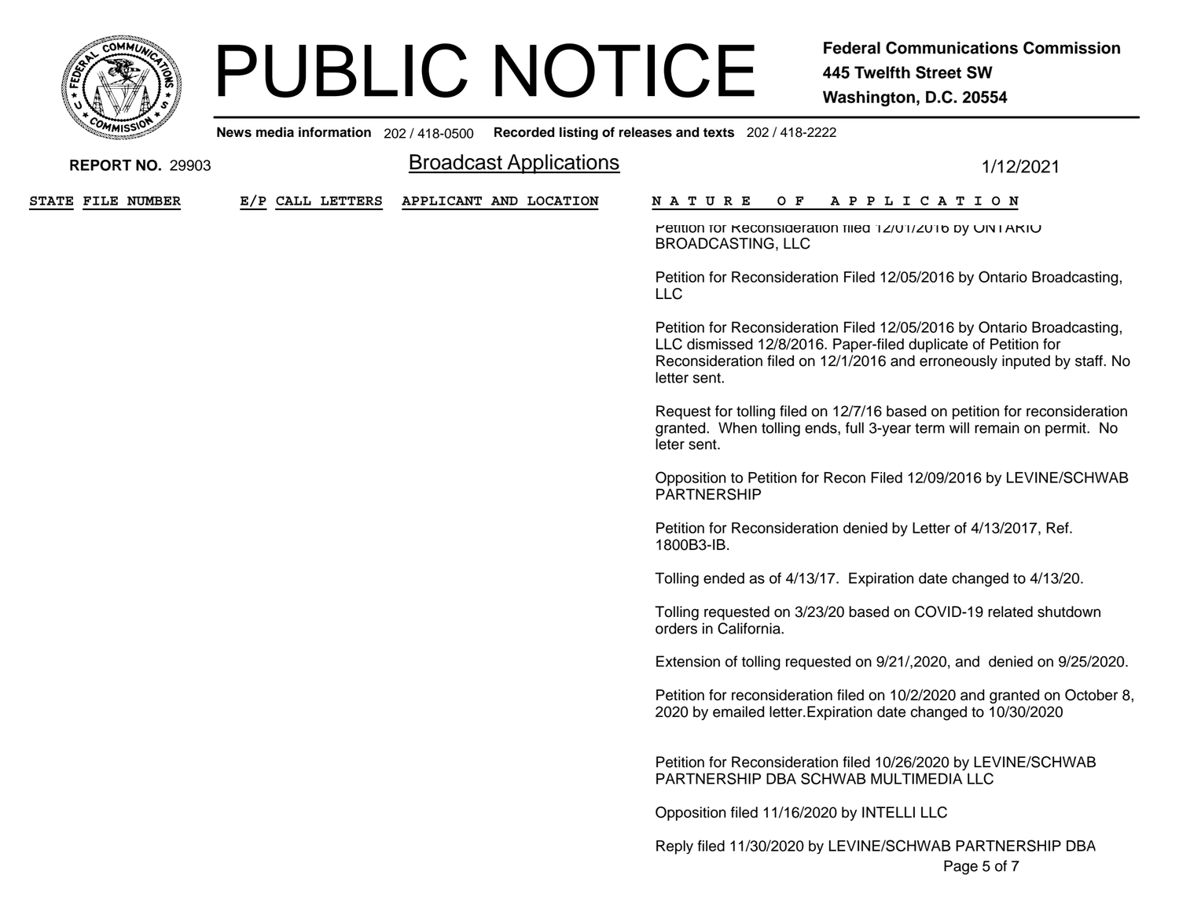

**News media information** 202 / 418-0500**Recorded listing of releases and texts** 202 / 418-2222

| <b>REPORT NO. 29903</b>  |                  | <b>Broadcast Applications</b> | 1/12/2021                                                                                                                                                                                                                           |  |
|--------------------------|------------------|-------------------------------|-------------------------------------------------------------------------------------------------------------------------------------------------------------------------------------------------------------------------------------|--|
| <b>STATE FILE NUMBER</b> | E/P CALL LETTERS | APPLICANT AND LOCATION        | N A T U R E<br>O F<br>A P P L I C A T I O N                                                                                                                                                                                         |  |
|                          |                  |                               | Petition for Reconsideration filed 12/01/2016 by ON LARIO<br><b>BROADCASTING, LLC</b>                                                                                                                                               |  |
|                          |                  |                               | Petition for Reconsideration Filed 12/05/2016 by Ontario Broadcasting,<br><b>LLC</b>                                                                                                                                                |  |
|                          |                  |                               | Petition for Reconsideration Filed 12/05/2016 by Ontario Broadcasting,<br>LLC dismissed 12/8/2016. Paper-filed duplicate of Petition for<br>Reconsideration filed on 12/1/2016 and erroneously inputed by staff. No<br>letter sent. |  |
|                          |                  |                               | Request for tolling filed on 12/7/16 based on petition for reconsideration<br>granted. When tolling ends, full 3-year term will remain on permit. No<br>leter sent.                                                                 |  |
|                          |                  |                               | Opposition to Petition for Recon Filed 12/09/2016 by LEVINE/SCHWAB<br>PARTNERSHIP                                                                                                                                                   |  |
|                          |                  |                               | Petition for Reconsideration denied by Letter of 4/13/2017, Ref.<br>1800B3-IB.                                                                                                                                                      |  |
|                          |                  |                               | Tolling ended as of 4/13/17. Expiration date changed to 4/13/20.                                                                                                                                                                    |  |
|                          |                  |                               | Tolling requested on 3/23/20 based on COVID-19 related shutdown<br>orders in California.                                                                                                                                            |  |
|                          |                  |                               | Extension of tolling requested on 9/21/, 2020, and denied on 9/25/2020.                                                                                                                                                             |  |
|                          |                  |                               | Petition for reconsideration filed on 10/2/2020 and granted on October 8,<br>2020 by emailed letter. Expiration date changed to 10/30/2020                                                                                          |  |
|                          |                  |                               | Petition for Reconsideration filed 10/26/2020 by LEVINE/SCHWAB<br>PARTNERSHIP DBA SCHWAB MULTIMEDIA LLC                                                                                                                             |  |
|                          |                  |                               | Opposition filed 11/16/2020 by INTELLI LLC                                                                                                                                                                                          |  |
|                          |                  |                               | Reply filed 11/30/2020 by LEVINE/SCHWAB PARTNERSHIP DBA<br>Page 5 of 7                                                                                                                                                              |  |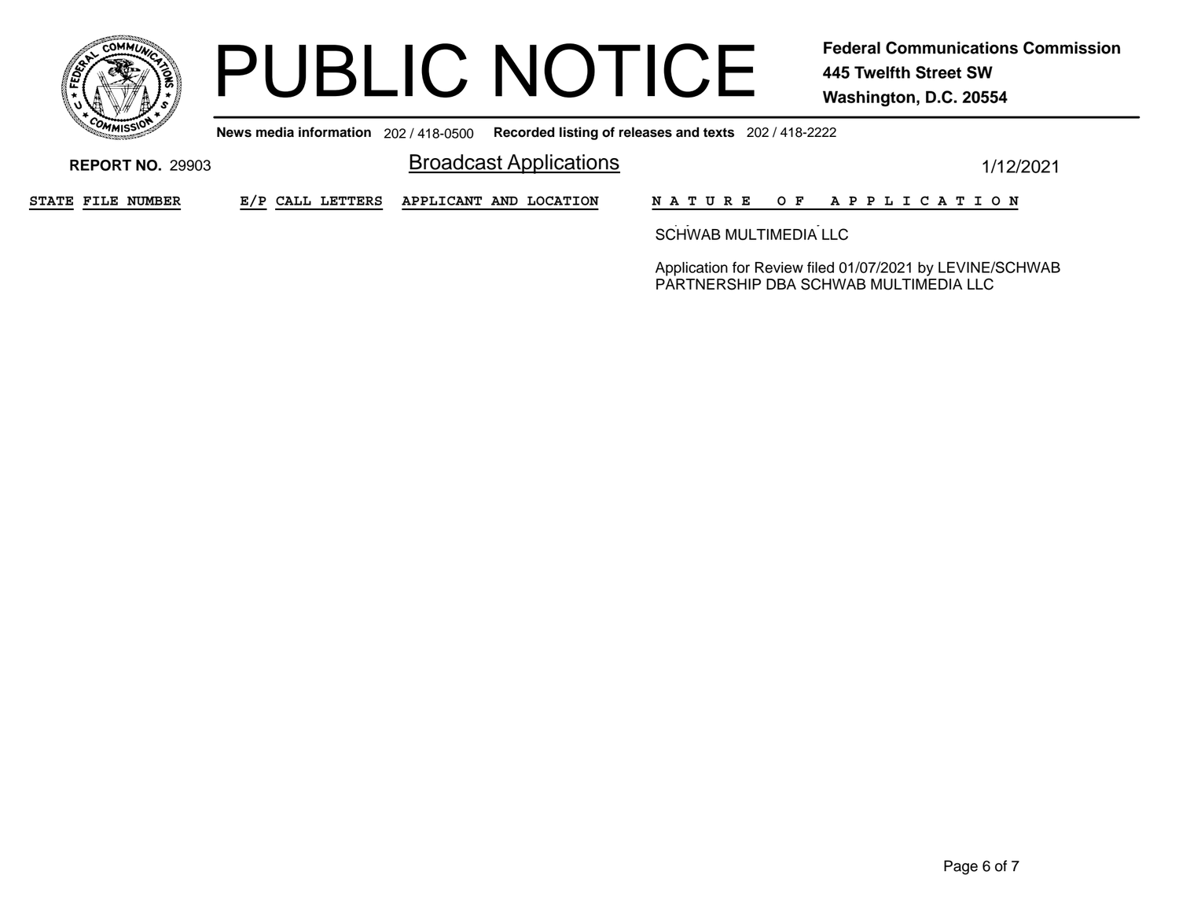

**News media information** 202 / 418-0500**Recorded listing of releases and texts** 202 / 418-2222

**Broadcast Applications** 1/12/2021 **REPORT NO.** 29903**STATE FILE NUMBER E/P CALL LETTERS APPLICANT AND LOCATION N A T U R E O F A P P L I C A T I O N** py you have a series of the series of the SCHWAB MULTIMEDIA LLC

> Application for Review filed 01/07/2021 by LEVINE/SCHWAB PARTNERSHIP DBA SCHWAB MULTIMEDIA LLC